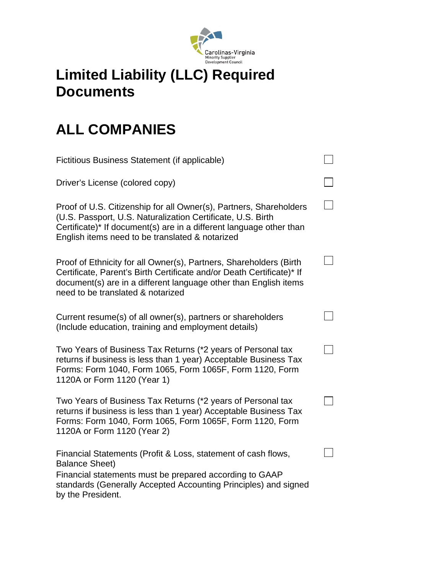

## **Limited Liability (LLC) Required Documents**

## **ALL COMPANIES**

| Fictitious Business Statement (if applicable)                                                                                                                                                                                                               |  |
|-------------------------------------------------------------------------------------------------------------------------------------------------------------------------------------------------------------------------------------------------------------|--|
| Driver's License (colored copy)                                                                                                                                                                                                                             |  |
| Proof of U.S. Citizenship for all Owner(s), Partners, Shareholders<br>(U.S. Passport, U.S. Naturalization Certificate, U.S. Birth<br>Certificate)* If document(s) are in a different language other than<br>English items need to be translated & notarized |  |
| Proof of Ethnicity for all Owner(s), Partners, Shareholders (Birth<br>Certificate, Parent's Birth Certificate and/or Death Certificate)* If<br>document(s) are in a different language other than English items<br>need to be translated & notarized        |  |
| Current resume(s) of all owner(s), partners or shareholders<br>(Include education, training and employment details)                                                                                                                                         |  |
| Two Years of Business Tax Returns (*2 years of Personal tax<br>returns if business is less than 1 year) Acceptable Business Tax<br>Forms: Form 1040, Form 1065, Form 1065F, Form 1120, Form<br>1120A or Form 1120 (Year 1)                                  |  |
| Two Years of Business Tax Returns (*2 years of Personal tax<br>returns if business is less than 1 year) Acceptable Business Tax<br>Forms: Form 1040, Form 1065, Form 1065F, Form 1120, Form<br>1120A or Form 1120 (Year 2)                                  |  |
| Financial Statements (Profit & Loss, statement of cash flows,<br><b>Balance Sheet)</b><br>Financial statements must be prepared according to GAAP<br>standards (Generally Accepted Accounting Principles) and signed<br>by the President.                   |  |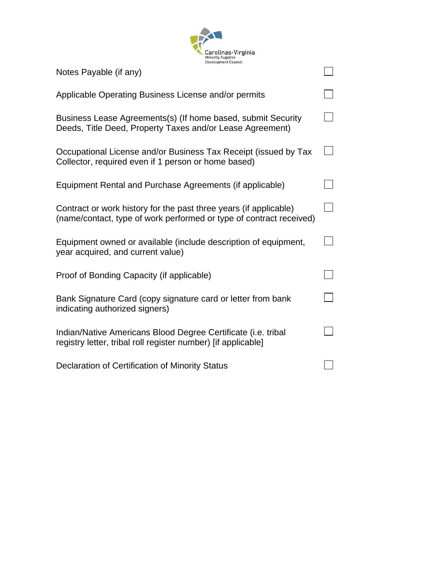

| Notes Payable (if any)                                                                                                                   |  |
|------------------------------------------------------------------------------------------------------------------------------------------|--|
| Applicable Operating Business License and/or permits                                                                                     |  |
| Business Lease Agreements(s) (If home based, submit Security<br>Deeds, Title Deed, Property Taxes and/or Lease Agreement)                |  |
| Occupational License and/or Business Tax Receipt (issued by Tax<br>Collector, required even if 1 person or home based)                   |  |
| Equipment Rental and Purchase Agreements (if applicable)                                                                                 |  |
| Contract or work history for the past three years (if applicable)<br>(name/contact, type of work performed or type of contract received) |  |
| Equipment owned or available (include description of equipment,<br>year acquired, and current value)                                     |  |
| Proof of Bonding Capacity (if applicable)                                                                                                |  |
| Bank Signature Card (copy signature card or letter from bank<br>indicating authorized signers)                                           |  |
| Indian/Native Americans Blood Degree Certificate (i.e. tribal<br>registry letter, tribal roll register number) [if applicable]           |  |
| Declaration of Certification of Minority Status                                                                                          |  |